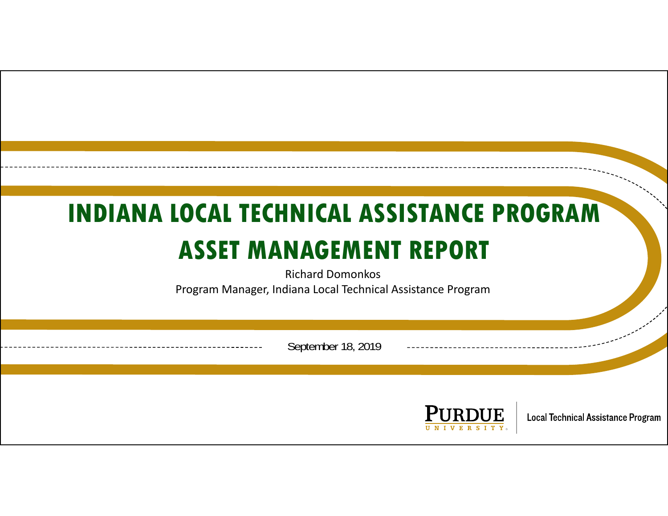# **INDIANA LOCAL TECHNICAL ASSISTANCE PROGRAMASSET MANAGEMENT REPORT**

Richard DomonkosProgram Manager, Indiana Local Technical Assistance Program

September 18, 2019

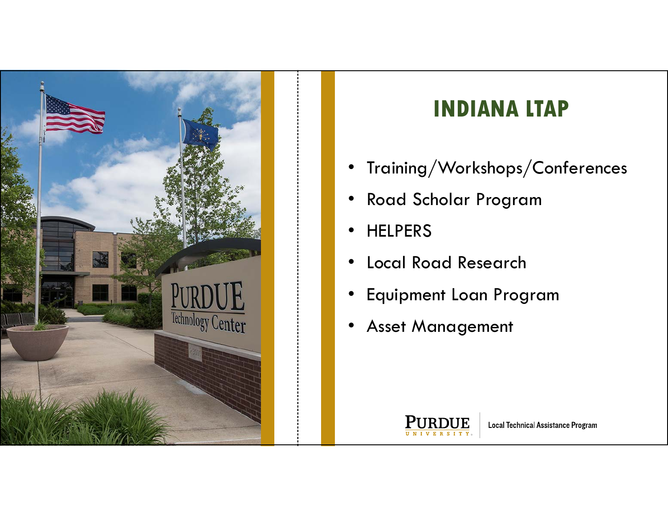

#### **INDIANA LTAP**

- $\bullet$ Training/Workshops/Conferences
- $\bullet$ Road Scholar Program
- •• HELPERS
- •Local Road Research
- $\bullet$ Equipment Loan Program
- •Asset Management

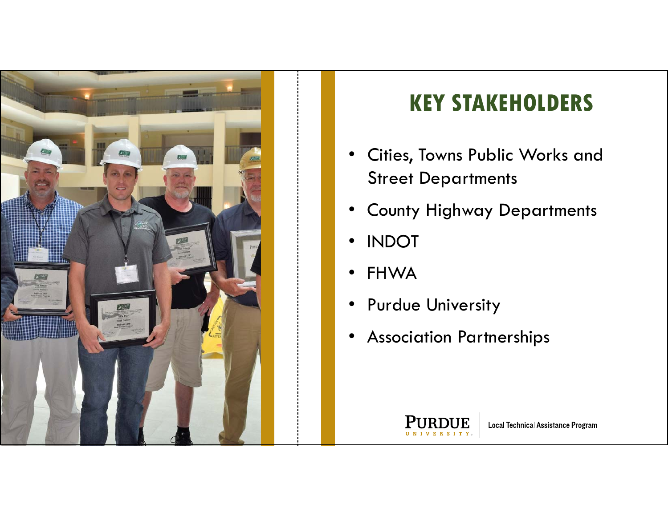

### **KEY STAKEHOLDERS**

- • Cities, Towns Public Works and Street Departments
- •County Highway Departments
- $\bullet$ INDOT
- •FHWA
- $\bullet$ Purdue University
- $\bullet$ Association Partnerships

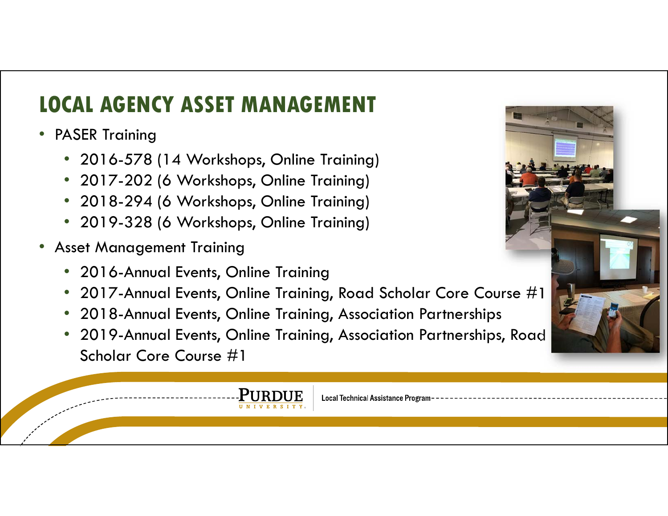# **LOCAL AGENCY ASSET MANAGEMENT**

- PASER Training
	- 2016-578 (14 Workshops, Online Training)
	- 2017-202 (6 Workshops, Online Training)
	- 2018-294 (6 Workshops, Online Training)
	- 2019-328 (6 Workshops, Online Training)
- Asset Management Training
	- 2016-Annual Events, Online Training
	- 2017-Annual Events, Online Training, Road Scholar Core Course  $\#1$
	- 2018-Annual Events, Online Training, Association Partnerships
	- 2019-Annual Events, Online Training, Association Partnerships, Road Scholar Core Course #1

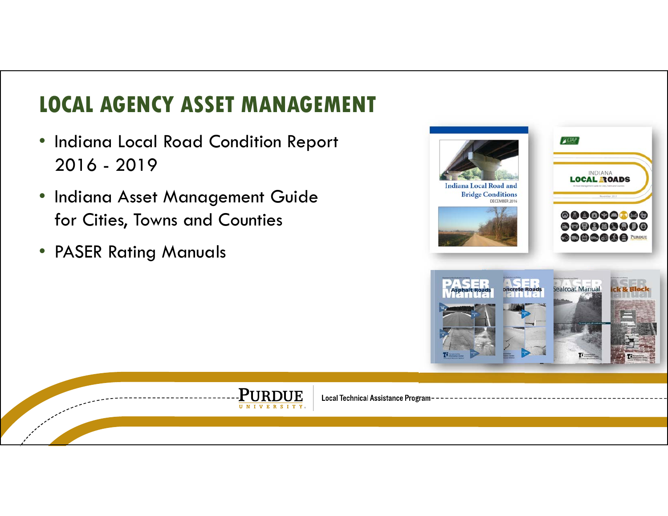# **LOCAL AGENCY ASSET MANAGEMENT**

- Indiana Local Road Condition Report 2016 - 2019
- Indiana Asset Management Guide for Cities, Towns and Counties
- PASER Rating Manuals



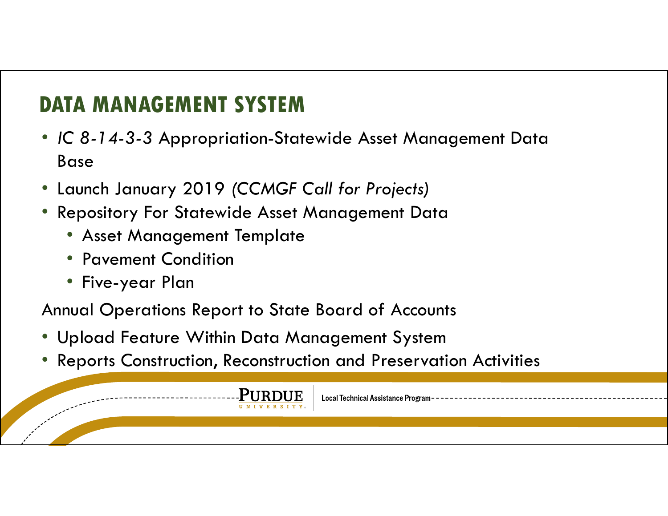#### **DATA MANAGEMENT SYSTEM**

- *IC 8-14-3-3* Appropriation-Statewide Asset Management Data Base
- Launch January 2019 *(CCMGF Call for Projects)*
- • Repository For Statewide Asset Management Data
	- Asset Management Template
	- Pavement Condition
	- Five-year Plan

Annual Operations Report to State Board of Accounts

- Upload Feature Within Data Management System
- •Reports Construction, Reconstruction and Preservation Activities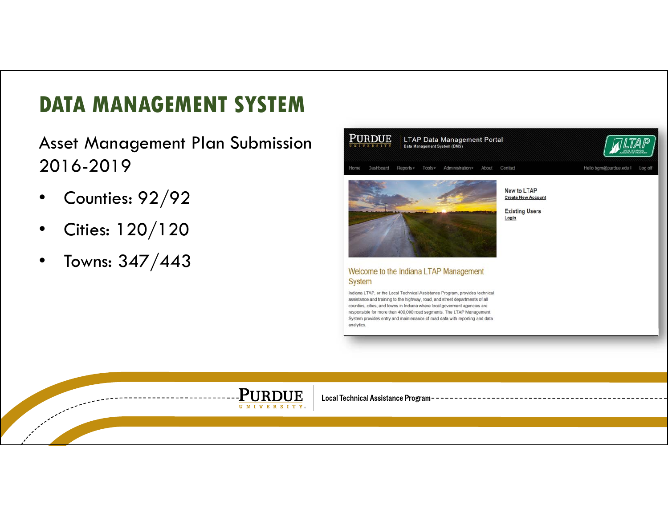#### **DATA MANAGEMENT SYSTEM**

Asset Management Plan Submission 2016-2019

- •Counties: 92/92
- •Cities: 120/120
- •Towns: 347/443



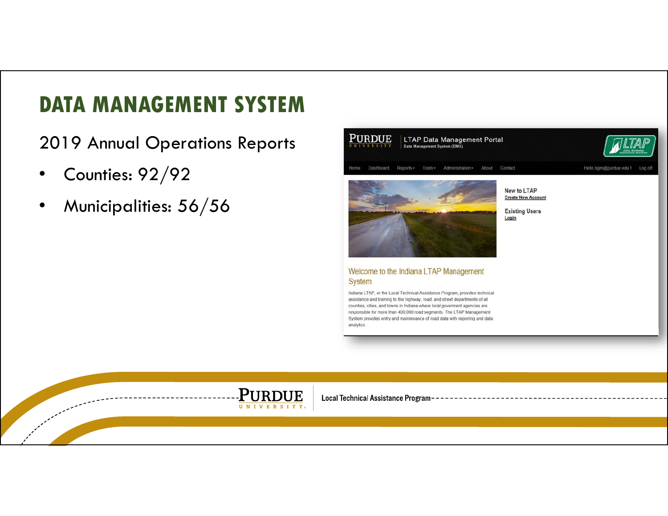#### **DATA MANAGEMENT SYSTEM**

2019 Annual Operations Reports

- •Counties: 92/92
- •Municipalities: 56/56



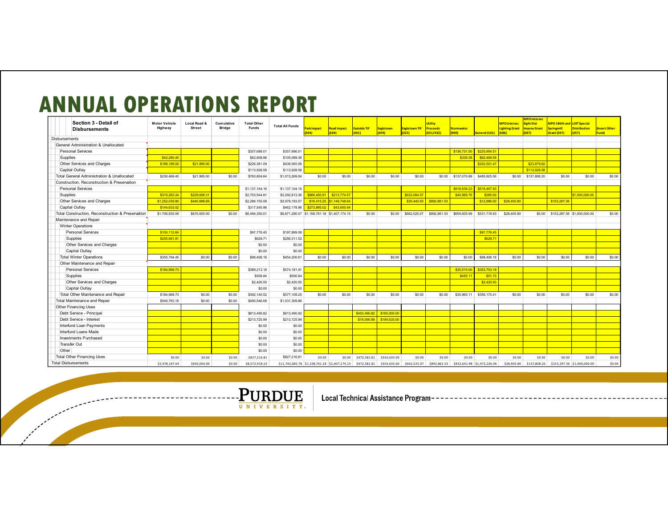#### **ANNUAL OPERATIONS REPORT**

| Section 3 - Detail of<br><b>Disbursements</b>     | <b>Motor Vehicle</b><br>Highway | Local Road &<br><b>Street</b> | <b>Cumulative</b><br>Bridge | <b>Total Other</b><br><b>Funds</b> | <b>Total All Funds</b>                                                  | ark Impact<br>2041                           | <b>Road Impact</b><br>(264) | <b>Eastside TIF</b><br>(301) | Eagletown<br>(309) | Eagletown TIF<br>(325) | <b>Utility</b><br>Proceeds<br>(651/432) | <b>Stormwater</b><br>(900) | General (101)                            | <b>MPO</b> Intersec<br><b>Lighting Grant</b><br>(586) | <b>MPO</b> Intersec<br><b>Sight Dist</b><br><b>Improv Grant</b><br>(587) | <b>MPO 186th and LOIT Special</b><br><b>Springmill</b><br>Grant (597) | <b>Distribution</b><br>(257) | nsert Other<br>und) |
|---------------------------------------------------|---------------------------------|-------------------------------|-----------------------------|------------------------------------|-------------------------------------------------------------------------|----------------------------------------------|-----------------------------|------------------------------|--------------------|------------------------|-----------------------------------------|----------------------------|------------------------------------------|-------------------------------------------------------|--------------------------------------------------------------------------|-----------------------------------------------------------------------|------------------------------|---------------------|
| <b>Disbursements</b>                              |                                 |                               |                             |                                    |                                                                         |                                              |                             |                              |                    |                        |                                         |                            |                                          |                                                       |                                                                          |                                                                       |                              |                     |
| General Administration & Unallocated              |                                 |                               |                             |                                    |                                                                         |                                              |                             |                              |                    |                        |                                         |                            |                                          |                                                       |                                                                          |                                                                       |                              |                     |
| Personal Services                                 |                                 |                               |                             | \$357,686.01                       | \$357,686.01                                                            |                                              |                             |                              |                    |                        |                                         | \$136,731.50               | \$220,954.51                             |                                                       |                                                                          |                                                                       |                              |                     |
| Supplies                                          | \$42,280.40                     |                               |                             | \$62,808.96                        | \$105,089.36                                                            |                                              |                             |                              |                    |                        |                                         | \$339.38                   | \$62,469.58                              |                                                       |                                                                          |                                                                       |                              |                     |
| Other Services and Charges                        | \$188,189.0                     | \$21,995.00                   |                             | \$226,381.09                       | \$436,565.09                                                            |                                              |                             |                              |                    |                        |                                         |                            | \$202,501.47                             |                                                       | \$23,879.62                                                              |                                                                       |                              |                     |
| Capital Outlay                                    |                                 |                               |                             | \$113,928.58                       | \$113,928.58                                                            |                                              |                             |                              |                    |                        |                                         |                            |                                          |                                                       | \$113,928.58                                                             |                                                                       |                              |                     |
| Total General Administration & Unallocated        | \$230,469.40                    | \$21,995.00                   | \$0.00                      | \$760,804.64                       | \$1,013,269.04                                                          | \$0.00                                       | \$0.00                      | \$0.00                       | \$0.00             | \$0.00                 | \$0.00                                  | \$137,070.88               | \$485,925.56                             |                                                       | \$0.00 \$137,808.20                                                      | \$0.00                                                                | \$0.00                       | \$0.00              |
| Construction, Reconstruction & Preservation       |                                 |                               |                             |                                    |                                                                         |                                              |                             |                              |                    |                        |                                         |                            |                                          |                                                       |                                                                          |                                                                       |                              |                     |
| <b>Personal Services</b>                          |                                 |                               |                             | \$1,137,104.16                     | \$1,137,104.16                                                          |                                              |                             |                              |                    |                        |                                         | \$618,636.23               | \$518,467.93                             |                                                       |                                                                          |                                                                       |                              |                     |
| Supplies                                          | \$310,262.24                    | \$229,006.31                  |                             | \$2,753,544.81                     | \$3,292,813.36                                                          | \$866,450.91                                 | \$213,774.57                |                              |                    | \$632,084.57           |                                         | \$40,969.76                | \$265.00                                 |                                                       |                                                                          |                                                                       | \$1,000,000.00               |                     |
| Other Services and Charges                        | \$1,252,039.8                   | \$440,998.69                  |                             | \$2,286,155.08                     | \$3,979,193.57                                                          | \$18,415.25                                  | \$1,149,748.64              |                              |                    | \$30,440.50            | \$892,861.53                            |                            | \$12,986.00                              | \$28,405.8                                            |                                                                          | \$153,297.36                                                          |                              |                     |
| Capital Outlay                                    | \$144,633.0                     |                               |                             | \$317,545.96                       | \$462,178.98                                                            | \$273,895.02                                 | \$43,650.94                 |                              |                    |                        |                                         |                            |                                          |                                                       |                                                                          |                                                                       |                              |                     |
| Total Construction, Reconstruction & Preservation | \$1,706,935.06                  | \$670,005.00                  | \$0.00                      | \$6,494,350.01                     |                                                                         | \$8,871,290.07 \$1,158,761.18 \$1,407,174.15 |                             | \$0.00                       | \$0.00             | \$662,525.07           | \$892.861.53                            | \$659,605.99               | \$531,718.93                             | \$28,405.80                                           |                                                                          | \$0.00 \$153,297.36 \$1,000,000,00                                    |                              | \$0.00              |
| Maintenance and Repair                            |                                 |                               |                             |                                    |                                                                         |                                              |                             |                              |                    |                        |                                         |                            |                                          |                                                       |                                                                          |                                                                       |                              |                     |
| <b>Winter Operations</b>                          |                                 |                               |                             |                                    |                                                                         |                                              |                             |                              |                    |                        |                                         |                            |                                          |                                                       |                                                                          |                                                                       |                              |                     |
| Personal Services                                 | \$100,112.64                    |                               |                             | \$97,776.45                        | \$197,889.09                                                            |                                              |                             |                              |                    |                        |                                         |                            | \$97,776.45                              |                                                       |                                                                          |                                                                       |                              |                     |
| Supplies                                          | \$255,681.8                     |                               |                             | \$629.71                           | \$256,311.52                                                            |                                              |                             |                              |                    |                        |                                         |                            | \$629.7                                  |                                                       |                                                                          |                                                                       |                              |                     |
| Other Services and Charges                        |                                 |                               |                             | \$0.00                             | \$0.00                                                                  |                                              |                             |                              |                    |                        |                                         |                            |                                          |                                                       |                                                                          |                                                                       |                              |                     |
| Capital Outlay                                    |                                 |                               |                             | \$0.00                             | \$0.00                                                                  |                                              |                             |                              |                    |                        |                                         |                            |                                          |                                                       |                                                                          |                                                                       |                              |                     |
| <b>Total Winter Operations</b>                    | \$355,794.45                    | \$0.00                        | \$0.00                      | \$98,406.16                        | \$454,200.61                                                            | \$0.00                                       | \$0.00                      | \$0.00                       | \$0.00             | \$0.00                 | \$0.00                                  | \$0.00                     | \$98,406.16                              | \$0.00                                                | \$0.00                                                                   | \$0.00                                                                | \$0.00                       | \$0.00              |
| Other Maintenance and Repair                      |                                 |                               |                             |                                    |                                                                         |                                              |                             |                              |                    |                        |                                         |                            |                                          |                                                       |                                                                          |                                                                       |                              |                     |
| Personal Services                                 | \$184,968.73                    |                               |                             | \$389,213.18                       | \$574,181.91                                                            |                                              |                             |                              |                    |                        |                                         | \$35,510.00                | \$353,703.18                             |                                                       |                                                                          |                                                                       |                              |                     |
| Supplies                                          |                                 |                               |                             | \$506.84                           | \$506.84                                                                |                                              |                             |                              |                    |                        |                                         | \$455.11                   | \$51.73                                  |                                                       |                                                                          |                                                                       |                              |                     |
| Other Services and Charges                        |                                 |                               |                             | \$2,420.50                         | \$2,420.50                                                              |                                              |                             |                              |                    |                        |                                         |                            | \$2,420.50                               |                                                       |                                                                          |                                                                       |                              |                     |
| Capital Outlav                                    |                                 |                               |                             | \$0.00                             | \$0.00                                                                  |                                              |                             |                              |                    |                        |                                         |                            |                                          |                                                       |                                                                          |                                                                       |                              |                     |
| Total Other Maintenance and Repair                | \$184,968.73                    | \$0.00                        | \$0.00                      | \$392.140.52                       | \$577,109.25                                                            | \$0.00                                       | \$0.00                      | \$0.00                       | \$0.00             | \$0.00                 | \$0.00                                  | \$35,965.11                | \$356,175.41                             | \$0.00                                                | \$0.00                                                                   | \$0.00                                                                | \$0.00                       | \$0.00              |
| Total Maintenance and Repair                      | \$540,763.18                    | \$0.00                        | \$0.00                      | \$490,546.68                       | \$1,031,309.86                                                          |                                              |                             |                              |                    |                        |                                         |                            |                                          |                                                       |                                                                          |                                                                       |                              |                     |
| Other Financing Uses                              |                                 |                               |                             |                                    |                                                                         |                                              |                             |                              |                    |                        |                                         |                            |                                          |                                                       |                                                                          |                                                                       |                              |                     |
| Debt Service - Principal                          |                                 |                               |                             | \$613,490.82                       | \$613,490.82                                                            |                                              |                             | \$453,490.82                 | \$160,000.00       |                        |                                         |                            |                                          |                                                       |                                                                          |                                                                       |                              |                     |
| Debt Service - Interest                           |                                 |                               |                             | \$213,725.99                       | \$213,725.99                                                            |                                              |                             | \$19,090.99                  | \$194,635.00       |                        |                                         |                            |                                          |                                                       |                                                                          |                                                                       |                              |                     |
| Interfund Loan Payments                           |                                 |                               |                             | \$0.00                             | \$0.00                                                                  |                                              |                             |                              |                    |                        |                                         |                            |                                          |                                                       |                                                                          |                                                                       |                              |                     |
| Interfund Loans Made                              |                                 |                               |                             | \$0.00                             | \$0.00                                                                  |                                              |                             |                              |                    |                        |                                         |                            |                                          |                                                       |                                                                          |                                                                       |                              |                     |
| <b>Investments Purchased</b>                      |                                 |                               |                             | \$0.00                             | \$0.00                                                                  |                                              |                             |                              |                    |                        |                                         |                            |                                          |                                                       |                                                                          |                                                                       |                              |                     |
| Transfer Out                                      |                                 |                               |                             | \$0.00                             | \$0.00                                                                  |                                              |                             |                              |                    |                        |                                         |                            |                                          |                                                       |                                                                          |                                                                       |                              |                     |
| Other                                             |                                 |                               |                             | \$0.00                             | \$0.00                                                                  |                                              |                             |                              |                    |                        |                                         |                            |                                          |                                                       |                                                                          |                                                                       |                              |                     |
| <b>Total Other Financing Uses</b>                 | \$0.00                          | \$0.00                        | \$0.00                      | \$827,216.81                       | \$827,216.81                                                            | \$0.00                                       | \$0.00                      | \$472,581.81                 | \$354,635.00       | \$0.00                 | \$0.00                                  | \$0.00                     | \$0.00                                   | \$0.00                                                | \$0.00                                                                   | \$0.00                                                                | \$0.00                       | \$0.00              |
| <b>Total Disbursements</b>                        | \$2,478,167.64                  | \$692,000.00                  | \$0.00                      | \$8,572,918.14                     | \$11,743,085.78 \$1,158,761.18 \$1,407,174.15 \$472,581.81 \$354,635.00 |                                              |                             |                              |                    | \$662,525.07           |                                         |                            | \$892,861.53 \$832,641.98 \$1,472,226.06 |                                                       | \$28,405.80 \$137,808.20 \$153,297.36 \$1,000,000.00                     |                                                                       |                              | \$0.00              |

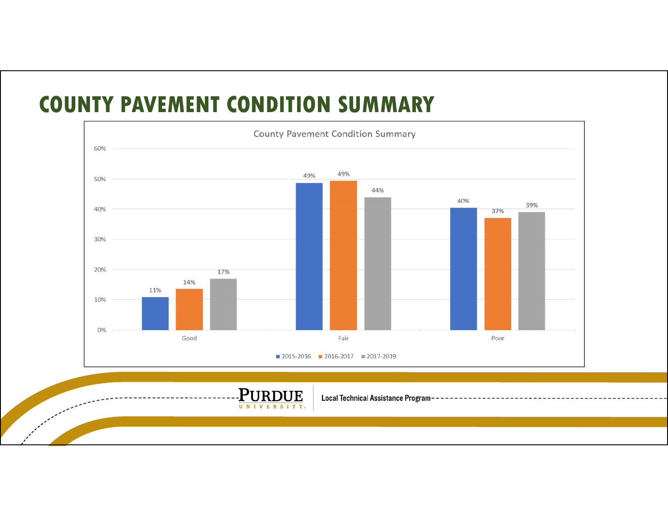#### **COUNTY PAVEMENT CONDITION SUMMARY**



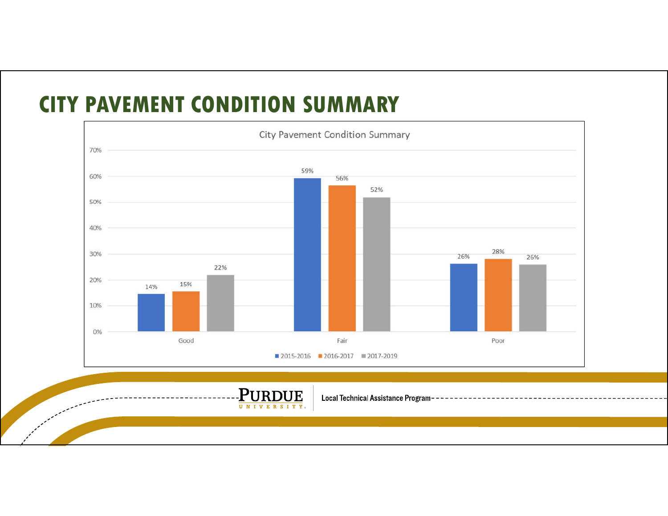#### **CITY PAVEMENT CONDITION SUMMARY**



**PURDUE** UNIVERSITY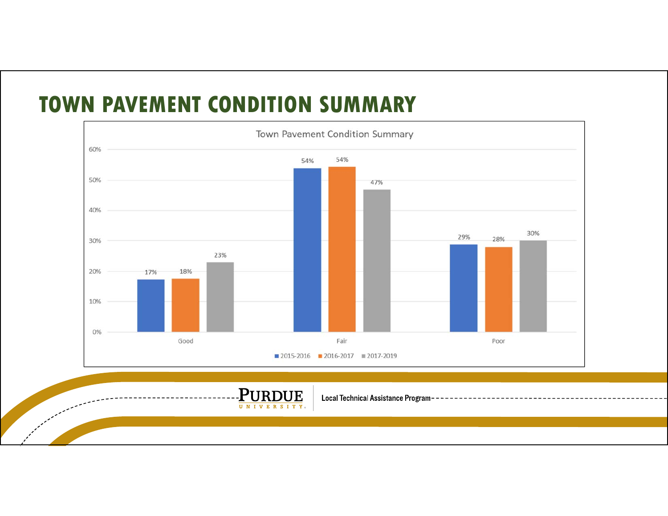#### **TOWN PAVEMENT CONDITION SUMMARY**



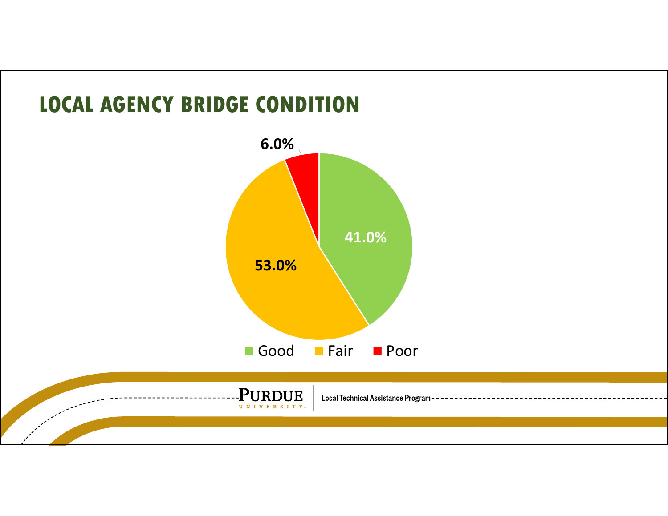